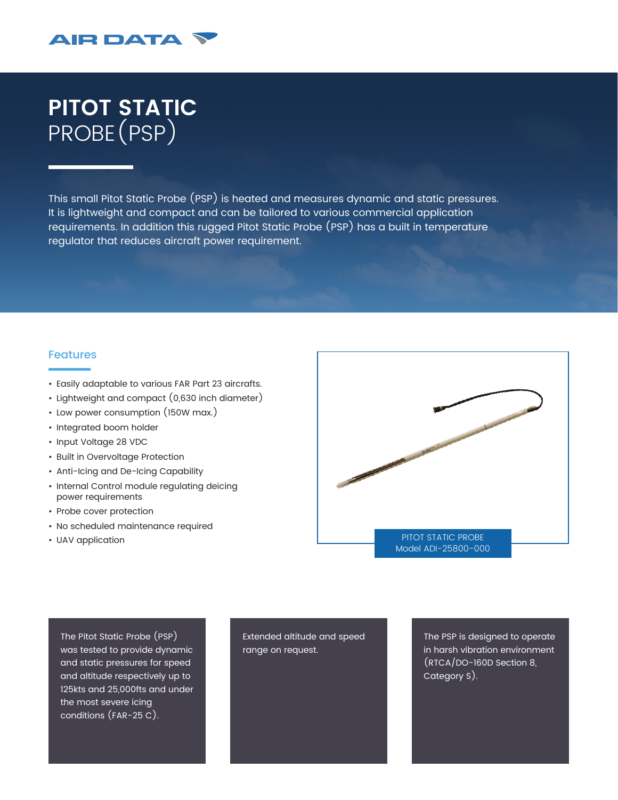

## **PITOT STATIC** PROBE(PSP)

This small Pitot Static Probe (PSP) is heated and measures dynamic and static pressures. It is lightweight and compact and can be tailored to various commercial application requirements. In addition this rugged Pitot Static Probe (PSP) has a built in temperature regulator that reduces aircraft power requirement.

## Features

- Easily adaptable to various FAR Part 23 aircrafts.
- Lightweight and compact (0,630 inch diameter)
- Low power consumption (150W max.)
- Integrated boom holder
- Input Voltage 28 VDC
- Built in Overvoltage Protection
- Anti-Icing and De-Icing Capability
- Internal Control module regulating deicing power requirements
- Probe cover protection
- No scheduled maintenance required
- UAV application



The Pitot Static Probe (PSP) was tested to provide dynamic and static pressures for speed and altitude respectively up to 125kts and 25,000fts and under the most severe icing conditions (FAR-25 C).

Extended altitude and speed range on request.

The PSP is designed to operate in harsh vibration environment (RTCA/DO-160D Section 8, Category S).